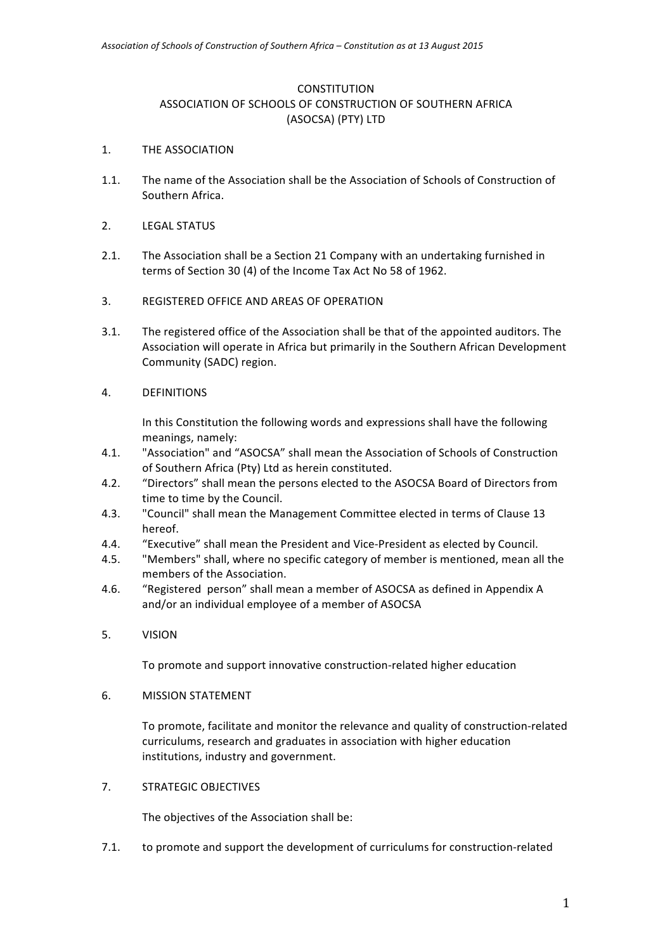# **CONSTITUTION** ASSOCIATION OF SCHOOLS OF CONSTRUCTION OF SOUTHERN AFRICA (ASOCSA) (PTY) LTD

### 1. THE ASSOCIATION

- 1.1. The name of the Association shall be the Association of Schools of Construction of Southern Africa.
- 2. LEGAL STATUS
- 2.1. The Association shall be a Section 21 Company with an undertaking furnished in terms of Section 30 (4) of the Income Tax Act No 58 of 1962.
- 3. REGISTERED OFFICE AND AREAS OF OPERATION
- 3.1. The registered office of the Association shall be that of the appointed auditors. The Association will operate in Africa but primarily in the Southern African Development Community (SADC) region.
- 4. DEFINITIONS

In this Constitution the following words and expressions shall have the following meanings, namely:

- 4.1. "Association" and "ASOCSA" shall mean the Association of Schools of Construction of Southern Africa (Pty) Ltd as herein constituted.
- 4.2. "Directors" shall mean the persons elected to the ASOCSA Board of Directors from time to time by the Council.
- 4.3. "Council" shall mean the Management Committee elected in terms of Clause 13 hereof.
- 4.4. "Executive" shall mean the President and Vice-President as elected by Council.
- 4.5. "Members" shall, where no specific category of member is mentioned, mean all the members of the Association.
- 4.6. "Registered person" shall mean a member of ASOCSA as defined in Appendix A and/or an individual employee of a member of ASOCSA
- 5. VISION

To promote and support innovative construction-related higher education

6. MISSION STATEMENT

To promote, facilitate and monitor the relevance and quality of construction-related curriculums, research and graduates in association with higher education institutions, industry and government.

7. STRATEGIC OBJECTIVES

The objectives of the Association shall be:

7.1. to promote and support the development of curriculums for construction-related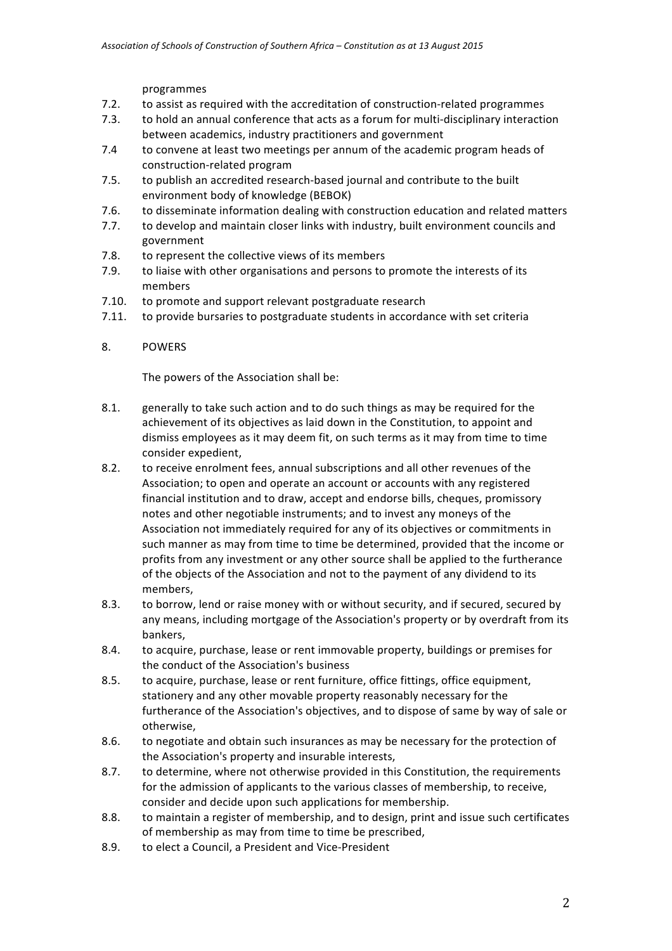programmes

- 7.2. to assist as required with the accreditation of construction-related programmes
- 7.3. to hold an annual conference that acts as a forum for multi-disciplinary interaction between academics, industry practitioners and government
- 7.4 to convene at least two meetings per annum of the academic program heads of construction-related program
- 7.5. to publish an accredited research-based journal and contribute to the built environment body of knowledge (BEBOK)
- 7.6. to disseminate information dealing with construction education and related matters
- 7.7. to develop and maintain closer links with industry, built environment councils and government
- 7.8. to represent the collective views of its members
- 7.9. to liaise with other organisations and persons to promote the interests of its members
- 7.10. to promote and support relevant postgraduate research
- 7.11. to provide bursaries to postgraduate students in accordance with set criteria

## 8. POWERS

The powers of the Association shall be:

- 8.1. generally to take such action and to do such things as may be required for the achievement of its objectives as laid down in the Constitution, to appoint and dismiss employees as it may deem fit, on such terms as it may from time to time consider expedient,
- 8.2. to receive enrolment fees, annual subscriptions and all other revenues of the Association; to open and operate an account or accounts with any registered financial institution and to draw, accept and endorse bills, cheques, promissory notes and other negotiable instruments; and to invest any moneys of the Association not immediately required for any of its objectives or commitments in such manner as may from time to time be determined, provided that the income or profits from any investment or any other source shall be applied to the furtherance of the objects of the Association and not to the payment of any dividend to its members,
- 8.3. to borrow, lend or raise money with or without security, and if secured, secured by any means, including mortgage of the Association's property or by overdraft from its bankers,
- 8.4. to acquire, purchase, lease or rent immovable property, buildings or premises for the conduct of the Association's business
- 8.5. to acquire, purchase, lease or rent furniture, office fittings, office equipment, stationery and any other movable property reasonably necessary for the furtherance of the Association's objectives, and to dispose of same by way of sale or otherwise,
- 8.6. to negotiate and obtain such insurances as may be necessary for the protection of the Association's property and insurable interests,
- 8.7. to determine, where not otherwise provided in this Constitution, the requirements for the admission of applicants to the various classes of membership, to receive, consider and decide upon such applications for membership.
- 8.8. to maintain a register of membership, and to design, print and issue such certificates of membership as may from time to time be prescribed,
- 8.9. to elect a Council, a President and Vice-President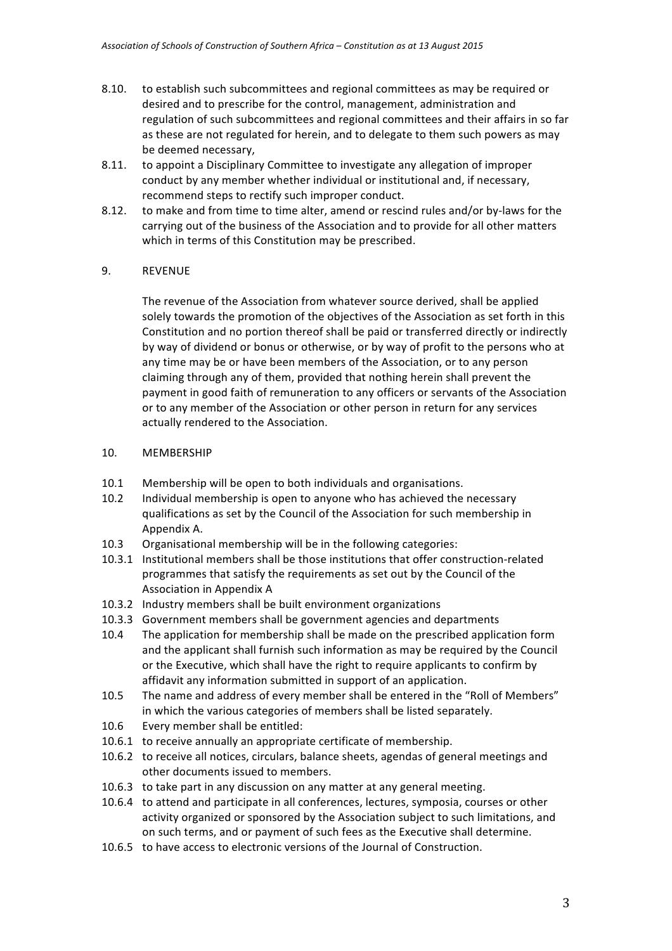- 8.10. to establish such subcommittees and regional committees as may be required or desired and to prescribe for the control, management, administration and regulation of such subcommittees and regional committees and their affairs in so far as these are not regulated for herein, and to delegate to them such powers as may be deemed necessary,
- 8.11. to appoint a Disciplinary Committee to investigate any allegation of improper conduct by any member whether individual or institutional and, if necessary, recommend steps to rectify such improper conduct.
- 8.12. to make and from time to time alter, amend or rescind rules and/or by-laws for the carrying out of the business of the Association and to provide for all other matters which in terms of this Constitution may be prescribed.

# 9. REVENUE

The revenue of the Association from whatever source derived, shall be applied solely towards the promotion of the objectives of the Association as set forth in this Constitution and no portion thereof shall be paid or transferred directly or indirectly by way of dividend or bonus or otherwise, or by way of profit to the persons who at any time may be or have been members of the Association, or to any person claiming through any of them, provided that nothing herein shall prevent the payment in good faith of remuneration to any officers or servants of the Association or to any member of the Association or other person in return for any services actually rendered to the Association.

## 10. MEMBERSHIP

- 10.1 Membership will be open to both individuals and organisations.
- 10.2 Individual membership is open to anyone who has achieved the necessary qualifications as set by the Council of the Association for such membership in Appendix A.
- 10.3 Organisational membership will be in the following categories:
- 10.3.1 Institutional members shall be those institutions that offer construction-related programmes that satisfy the requirements as set out by the Council of the Association in Appendix A
- 10.3.2 Industry members shall be built environment organizations
- 10.3.3 Government members shall be government agencies and departments
- 10.4 The application for membership shall be made on the prescribed application form and the applicant shall furnish such information as may be required by the Council or the Executive, which shall have the right to require applicants to confirm by affidavit any information submitted in support of an application.
- 10.5 The name and address of every member shall be entered in the "Roll of Members" in which the various categories of members shall be listed separately.
- 10.6 Every member shall be entitled:
- 10.6.1 to receive annually an appropriate certificate of membership.
- 10.6.2 to receive all notices, circulars, balance sheets, agendas of general meetings and other documents issued to members.
- 10.6.3 to take part in any discussion on any matter at any general meeting.
- 10.6.4 to attend and participate in all conferences, lectures, symposia, courses or other activity organized or sponsored by the Association subject to such limitations, and on such terms, and or payment of such fees as the Executive shall determine.
- 10.6.5 to have access to electronic versions of the Journal of Construction.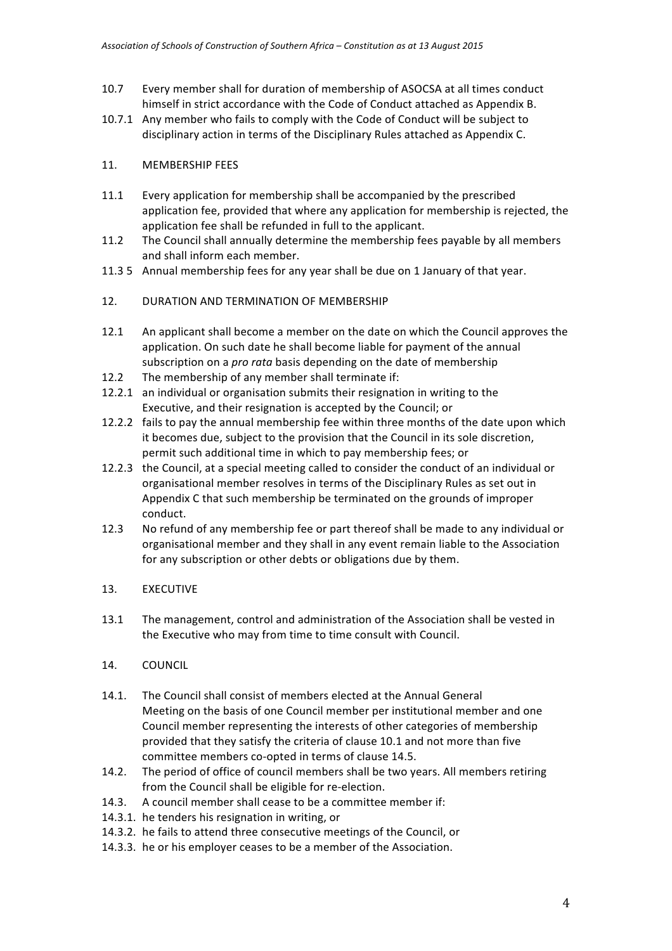- 10.7 Every member shall for duration of membership of ASOCSA at all times conduct himself in strict accordance with the Code of Conduct attached as Appendix B.
- 10.7.1 Any member who fails to comply with the Code of Conduct will be subject to disciplinary action in terms of the Disciplinary Rules attached as Appendix C.

## 11. MEMBERSHIP FEES

- 11.1 Every application for membership shall be accompanied by the prescribed application fee, provided that where any application for membership is rejected, the application fee shall be refunded in full to the applicant.
- 11.2 The Council shall annually determine the membership fees payable by all members and shall inform each member.
- 11.3 5 Annual membership fees for any year shall be due on 1 January of that year.
- 12. DURATION AND TERMINATION OF MEMBERSHIP
- 12.1 An applicant shall become a member on the date on which the Council approves the application. On such date he shall become liable for payment of the annual subscription on a *pro rata* basis depending on the date of membership
- 12.2 The membership of any member shall terminate if:
- 12.2.1 an individual or organisation submits their resignation in writing to the Executive, and their resignation is accepted by the Council; or
- 12.2.2 fails to pay the annual membership fee within three months of the date upon which it becomes due, subject to the provision that the Council in its sole discretion, permit such additional time in which to pay membership fees; or
- 12.2.3 the Council, at a special meeting called to consider the conduct of an individual or organisational member resolves in terms of the Disciplinary Rules as set out in Appendix C that such membership be terminated on the grounds of improper conduct.
- 12.3 No refund of any membership fee or part thereof shall be made to any individual or organisational member and they shall in any event remain liable to the Association for any subscription or other debts or obligations due by them.
- 13. EXECUTIVE
- 13.1 The management, control and administration of the Association shall be vested in the Executive who may from time to time consult with Council.
- 14. COUNCIL
- 14.1. The Council shall consist of members elected at the Annual General Meeting on the basis of one Council member per institutional member and one Council member representing the interests of other categories of membership provided that they satisfy the criteria of clause 10.1 and not more than five committee members co-opted in terms of clause 14.5.
- 14.2. The period of office of council members shall be two years. All members retiring from the Council shall be eligible for re-election.
- 14.3. A council member shall cease to be a committee member if:
- 14.3.1. he tenders his resignation in writing, or
- 14.3.2. he fails to attend three consecutive meetings of the Council, or
- 14.3.3. he or his employer ceases to be a member of the Association.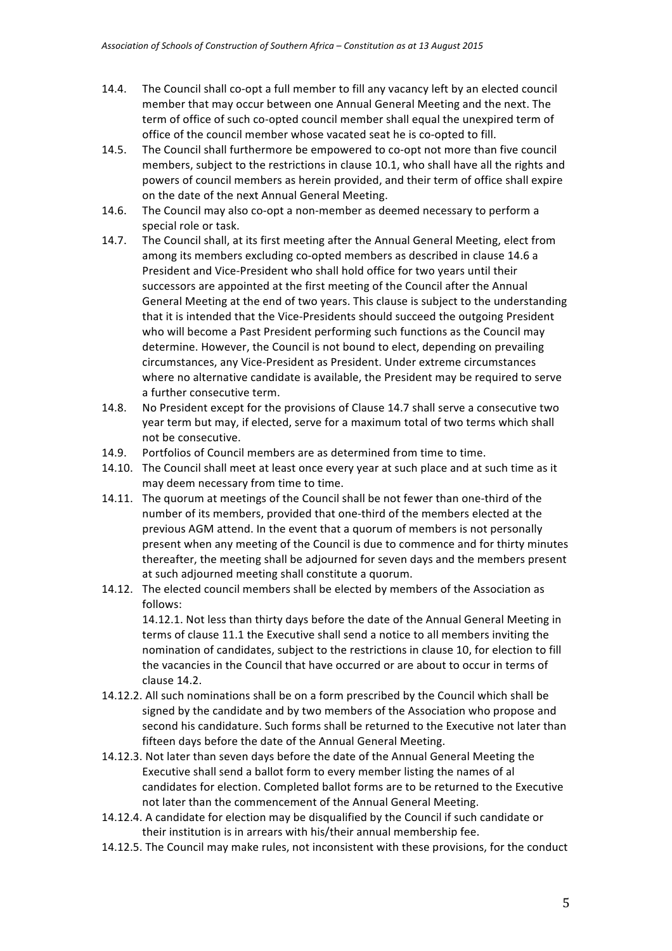- 14.4. The Council shall co-opt a full member to fill any vacancy left by an elected council member that may occur between one Annual General Meeting and the next. The term of office of such co-opted council member shall equal the unexpired term of office of the council member whose vacated seat he is co-opted to fill.
- 14.5. The Council shall furthermore be empowered to co-opt not more than five council members, subject to the restrictions in clause 10.1, who shall have all the rights and powers of council members as herein provided, and their term of office shall expire on the date of the next Annual General Meeting.
- 14.6. The Council may also co-opt a non-member as deemed necessary to perform a special role or task.
- 14.7. The Council shall, at its first meeting after the Annual General Meeting, elect from among its members excluding co-opted members as described in clause 14.6 a President and Vice-President who shall hold office for two years until their successors are appointed at the first meeting of the Council after the Annual General Meeting at the end of two years. This clause is subject to the understanding that it is intended that the Vice-Presidents should succeed the outgoing President who will become a Past President performing such functions as the Council may determine. However, the Council is not bound to elect, depending on prevailing circumstances, any Vice-President as President. Under extreme circumstances where no alternative candidate is available, the President may be required to serve a further consecutive term.
- 14.8. No President except for the provisions of Clause 14.7 shall serve a consecutive two year term but may, if elected, serve for a maximum total of two terms which shall not be consecutive.
- 14.9. Portfolios of Council members are as determined from time to time.
- 14.10. The Council shall meet at least once every year at such place and at such time as it may deem necessary from time to time.
- 14.11. The quorum at meetings of the Council shall be not fewer than one-third of the number of its members, provided that one-third of the members elected at the previous AGM attend. In the event that a quorum of members is not personally present when any meeting of the Council is due to commence and for thirty minutes thereafter, the meeting shall be adjourned for seven days and the members present at such adjourned meeting shall constitute a quorum.
- 14.12. The elected council members shall be elected by members of the Association as follows: 14.12.1. Not less than thirty days before the date of the Annual General Meeting in terms of clause 11.1 the Executive shall send a notice to all members inviting the nomination of candidates, subject to the restrictions in clause 10, for election to fill the vacancies in the Council that have occurred or are about to occur in terms of clause 14.2.
- 14.12.2. All such nominations shall be on a form prescribed by the Council which shall be signed by the candidate and by two members of the Association who propose and second his candidature. Such forms shall be returned to the Executive not later than fifteen days before the date of the Annual General Meeting.
- 14.12.3. Not later than seven days before the date of the Annual General Meeting the Executive shall send a ballot form to every member listing the names of al candidates for election. Completed ballot forms are to be returned to the Executive not later than the commencement of the Annual General Meeting.
- 14.12.4. A candidate for election may be disqualified by the Council if such candidate or their institution is in arrears with his/their annual membership fee.
- 14.12.5. The Council may make rules, not inconsistent with these provisions, for the conduct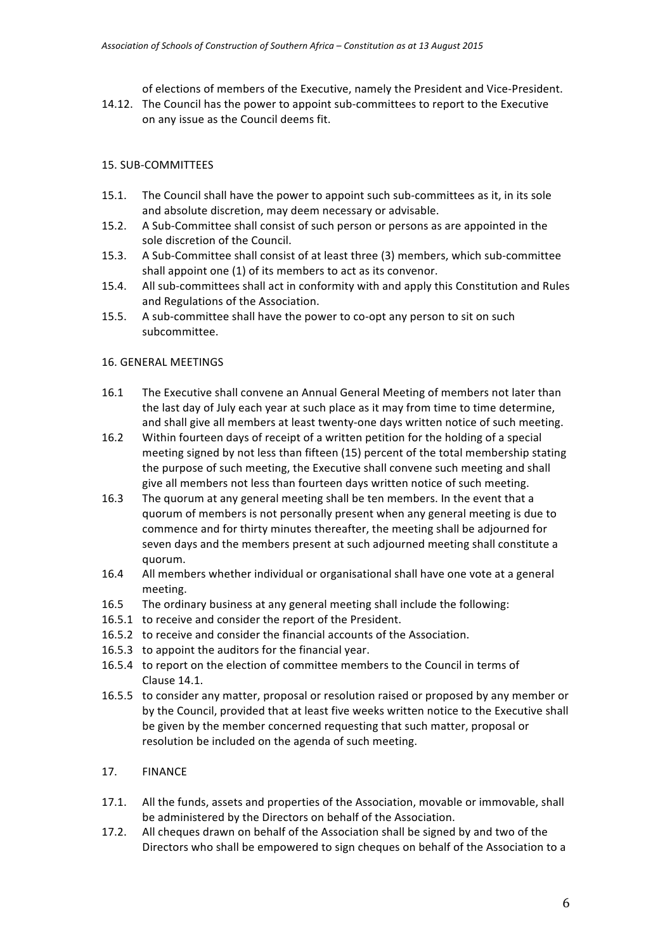of elections of members of the Executive, namely the President and Vice-President.

14.12. The Council has the power to appoint sub-committees to report to the Executive on any issue as the Council deems fit.

# 15. SUB-COMMITTEES

- 15.1. The Council shall have the power to appoint such sub-committees as it, in its sole and absolute discretion, may deem necessary or advisable.
- 15.2. A Sub-Committee shall consist of such person or persons as are appointed in the sole discretion of the Council.
- 15.3. A Sub-Committee shall consist of at least three (3) members, which sub-committee shall appoint one (1) of its members to act as its convenor.
- 15.4. All sub-committees shall act in conformity with and apply this Constitution and Rules and Regulations of the Association.
- 15.5. A sub-committee shall have the power to co-opt any person to sit on such subcommittee.

## 16. GENERAL MEETINGS

- 16.1 The Executive shall convene an Annual General Meeting of members not later than the last day of July each year at such place as it may from time to time determine, and shall give all members at least twenty-one days written notice of such meeting.
- 16.2 Within fourteen days of receipt of a written petition for the holding of a special meeting signed by not less than fifteen (15) percent of the total membership stating the purpose of such meeting, the Executive shall convene such meeting and shall give all members not less than fourteen days written notice of such meeting.
- 16.3 The quorum at any general meeting shall be ten members. In the event that a guorum of members is not personally present when any general meeting is due to commence and for thirty minutes thereafter, the meeting shall be adjourned for seven days and the members present at such adjourned meeting shall constitute a quorum.
- 16.4 All members whether individual or organisational shall have one vote at a general meeting.
- 16.5 The ordinary business at any general meeting shall include the following:
- 16.5.1 to receive and consider the report of the President.
- 16.5.2 to receive and consider the financial accounts of the Association.
- 16.5.3 to appoint the auditors for the financial vear.
- 16.5.4 to report on the election of committee members to the Council in terms of Clause 14.1.
- 16.5.5 to consider any matter, proposal or resolution raised or proposed by any member or by the Council, provided that at least five weeks written notice to the Executive shall be given by the member concerned requesting that such matter, proposal or resolution be included on the agenda of such meeting.
- 17. FINANCE
- 17.1. All the funds, assets and properties of the Association, movable or immovable, shall be administered by the Directors on behalf of the Association.
- 17.2. All cheques drawn on behalf of the Association shall be signed by and two of the Directors who shall be empowered to sign cheques on behalf of the Association to a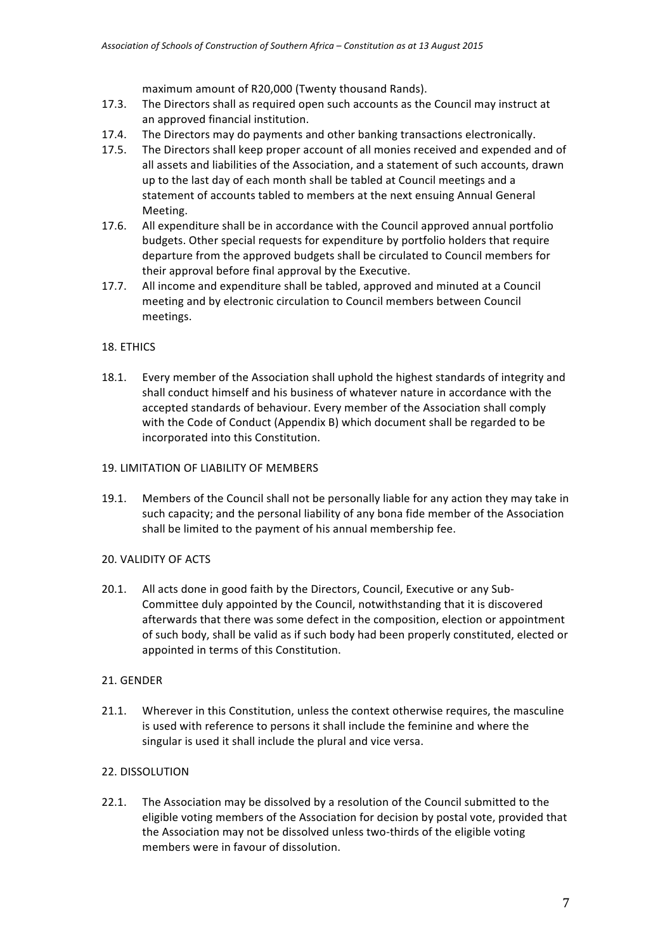maximum amount of R20,000 (Twenty thousand Rands).

- 17.3. The Directors shall as required open such accounts as the Council may instruct at an approved financial institution.
- 17.4. The Directors may do payments and other banking transactions electronically.
- 17.5. The Directors shall keep proper account of all monies received and expended and of all assets and liabilities of the Association, and a statement of such accounts, drawn up to the last day of each month shall be tabled at Council meetings and a statement of accounts tabled to members at the next ensuing Annual General Meeting.
- 17.6. All expenditure shall be in accordance with the Council approved annual portfolio budgets. Other special requests for expenditure by portfolio holders that require departure from the approved budgets shall be circulated to Council members for their approval before final approval by the Executive.
- 17.7. All income and expenditure shall be tabled, approved and minuted at a Council meeting and by electronic circulation to Council members between Council meetings.

## 18. ETHICS

18.1. Every member of the Association shall uphold the highest standards of integrity and shall conduct himself and his business of whatever nature in accordance with the accepted standards of behaviour. Every member of the Association shall comply with the Code of Conduct (Appendix B) which document shall be regarded to be incorporated into this Constitution.

#### 19. LIMITATION OF LIABILITY OF MEMBERS

19.1. Members of the Council shall not be personally liable for any action they may take in such capacity; and the personal liability of any bona fide member of the Association shall be limited to the payment of his annual membership fee.

#### 20. VALIDITY OF ACTS

20.1. All acts done in good faith by the Directors, Council, Executive or any Sub-Committee duly appointed by the Council, notwithstanding that it is discovered afterwards that there was some defect in the composition, election or appointment of such body, shall be valid as if such body had been properly constituted, elected or appointed in terms of this Constitution.

# 21. GENDER

21.1. Wherever in this Constitution, unless the context otherwise requires, the masculine is used with reference to persons it shall include the feminine and where the singular is used it shall include the plural and vice versa.

# 22. DISSOLUTION

22.1. The Association may be dissolved by a resolution of the Council submitted to the eligible voting members of the Association for decision by postal vote, provided that the Association may not be dissolved unless two-thirds of the eligible voting members were in favour of dissolution.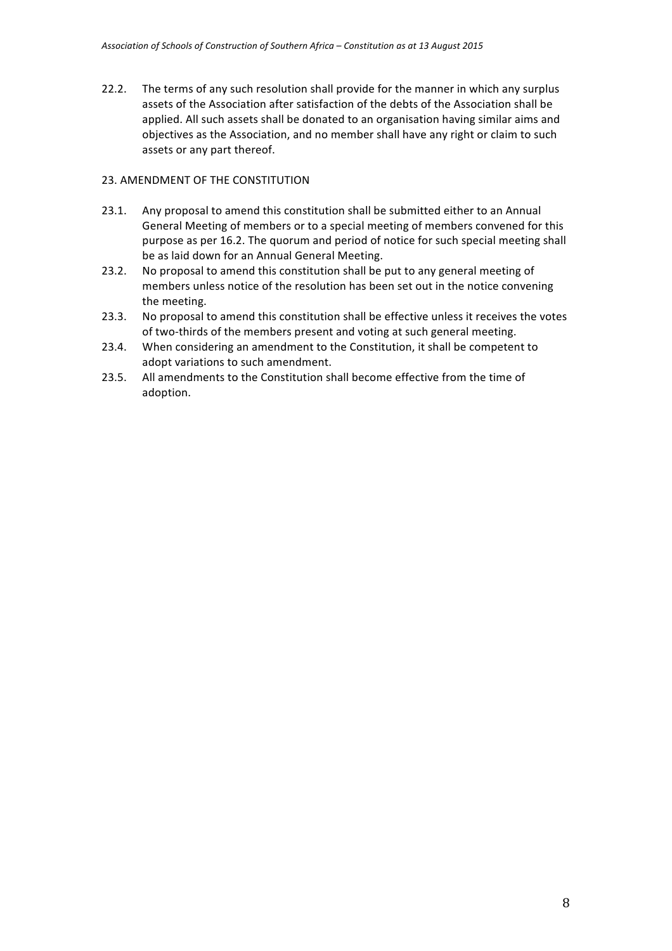22.2. The terms of any such resolution shall provide for the manner in which any surplus assets of the Association after satisfaction of the debts of the Association shall be applied. All such assets shall be donated to an organisation having similar aims and objectives as the Association, and no member shall have any right or claim to such assets or any part thereof.

## 23. AMENDMENT OF THE CONSTITUTION

- 23.1. Any proposal to amend this constitution shall be submitted either to an Annual General Meeting of members or to a special meeting of members convened for this purpose as per 16.2. The quorum and period of notice for such special meeting shall be as laid down for an Annual General Meeting.
- 23.2. No proposal to amend this constitution shall be put to any general meeting of members unless notice of the resolution has been set out in the notice convening the meeting.
- 23.3. No proposal to amend this constitution shall be effective unless it receives the votes of two-thirds of the members present and voting at such general meeting.
- 23.4. When considering an amendment to the Constitution, it shall be competent to adopt variations to such amendment.
- 23.5. All amendments to the Constitution shall become effective from the time of adoption.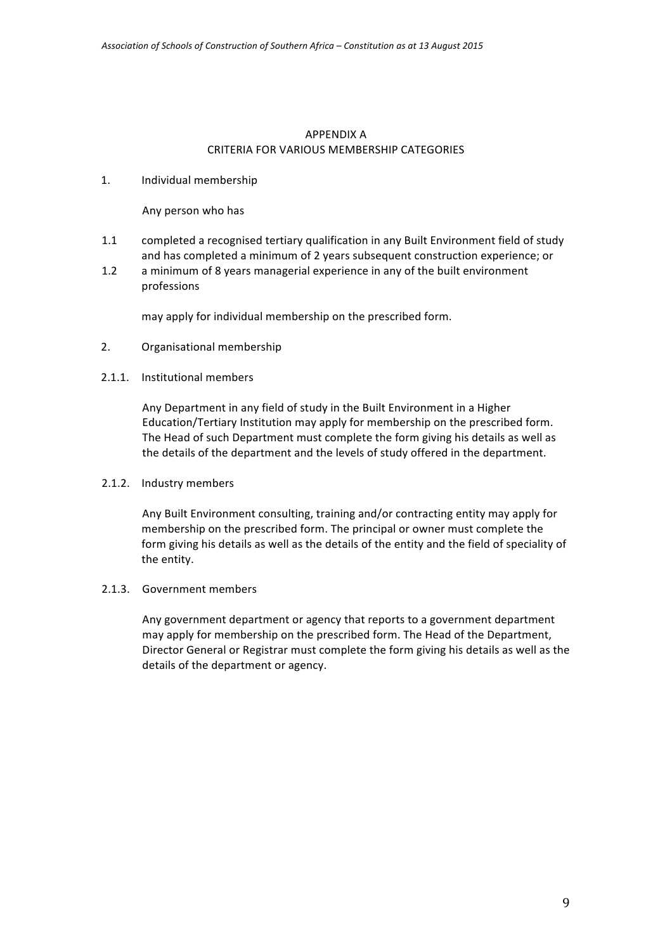#### **APPENDIX A** CRITERIA FOR VARIOUS MEMBERSHIP CATEGORIES

1. Individual membership

Any person who has

- 1.1 completed a recognised tertiary qualification in any Built Environment field of study and has completed a minimum of 2 years subsequent construction experience; or
- 1.2 a minimum of 8 years managerial experience in any of the built environment professions

may apply for individual membership on the prescribed form.

- 2. Organisational membership
- 2.1.1. Institutional members

Any Department in any field of study in the Built Environment in a Higher Education/Tertiary Institution may apply for membership on the prescribed form. The Head of such Department must complete the form giving his details as well as the details of the department and the levels of study offered in the department.

2.1.2. Industry members

Any Built Environment consulting, training and/or contracting entity may apply for membership on the prescribed form. The principal or owner must complete the form giving his details as well as the details of the entity and the field of speciality of the entity.

#### 2.1.3. Government members

Any government department or agency that reports to a government department may apply for membership on the prescribed form. The Head of the Department, Director General or Registrar must complete the form giving his details as well as the details of the department or agency.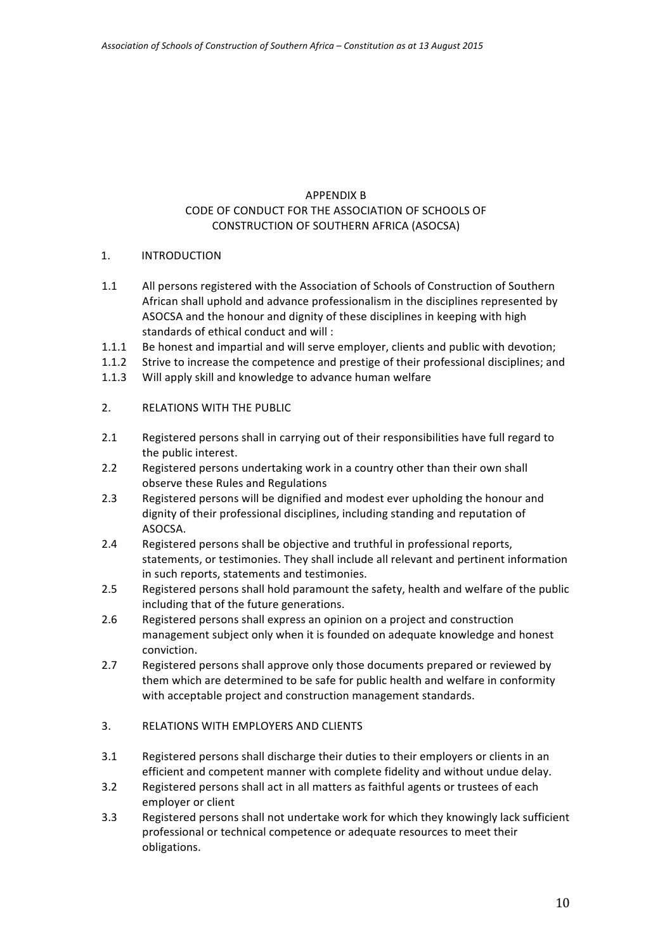## **APPENDIX R** CODE OF CONDUCT FOR THE ASSOCIATION OF SCHOOLS OF CONSTRUCTION OF SOUTHERN AFRICA (ASOCSA)

## 1. INTRODUCTION

- 1.1 All persons registered with the Association of Schools of Construction of Southern African shall uphold and advance professionalism in the disciplines represented by ASOCSA and the honour and dignity of these disciplines in keeping with high standards of ethical conduct and will :
- 1.1.1 Be honest and impartial and will serve employer, clients and public with devotion;
- 1.1.2 Strive to increase the competence and prestige of their professional disciplines; and
- 1.1.3 Will apply skill and knowledge to advance human welfare

## 2. RELATIONS WITH THE PUBLIC

- 2.1 Registered persons shall in carrying out of their responsibilities have full regard to the public interest.
- 2.2 Registered persons undertaking work in a country other than their own shall observe these Rules and Regulations
- 2.3 Registered persons will be dignified and modest ever upholding the honour and dignity of their professional disciplines, including standing and reputation of ASOCSA.
- 2.4 Registered persons shall be objective and truthful in professional reports, statements, or testimonies. They shall include all relevant and pertinent information in such reports, statements and testimonies.
- 2.5 Registered persons shall hold paramount the safety, health and welfare of the public including that of the future generations.
- 2.6 Registered persons shall express an opinion on a project and construction management subject only when it is founded on adequate knowledge and honest conviction.
- 2.7 Registered persons shall approve only those documents prepared or reviewed by them which are determined to be safe for public health and welfare in conformity with acceptable project and construction management standards.

#### 3. RELATIONS WITH EMPLOYERS AND CLIENTS

- 3.1 Registered persons shall discharge their duties to their employers or clients in an efficient and competent manner with complete fidelity and without undue delay.
- 3.2 Registered persons shall act in all matters as faithful agents or trustees of each employer or client
- 3.3 Registered persons shall not undertake work for which they knowingly lack sufficient professional or technical competence or adequate resources to meet their obligations.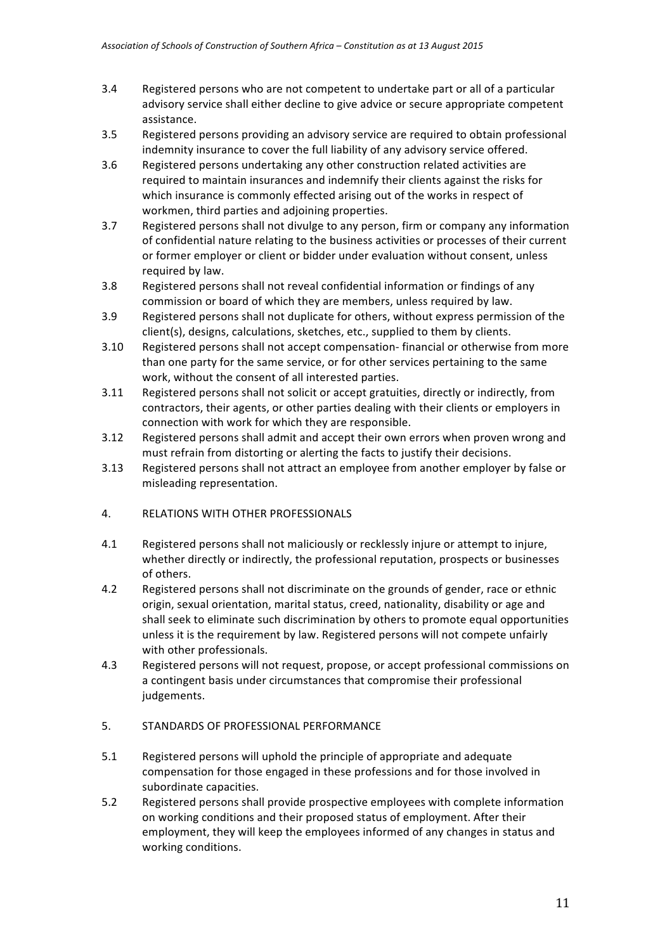- 3.4 Registered persons who are not competent to undertake part or all of a particular advisory service shall either decline to give advice or secure appropriate competent assistance.
- 3.5 Registered persons providing an advisory service are required to obtain professional indemnity insurance to cover the full liability of any advisory service offered.
- 3.6 Registered persons undertaking any other construction related activities are required to maintain insurances and indemnify their clients against the risks for which insurance is commonly effected arising out of the works in respect of workmen, third parties and adjoining properties.
- 3.7 Registered persons shall not divulge to any person, firm or company any information of confidential nature relating to the business activities or processes of their current or former employer or client or bidder under evaluation without consent, unless required by law.
- 3.8 Registered persons shall not reveal confidential information or findings of any commission or board of which they are members, unless required by law.
- 3.9 Registered persons shall not duplicate for others, without express permission of the client(s), designs, calculations, sketches, etc., supplied to them by clients.
- 3.10 Registered persons shall not accept compensation- financial or otherwise from more than one party for the same service, or for other services pertaining to the same work, without the consent of all interested parties.
- 3.11 Registered persons shall not solicit or accept gratuities, directly or indirectly, from contractors, their agents, or other parties dealing with their clients or employers in connection with work for which they are responsible.
- 3.12 Registered persons shall admit and accept their own errors when proven wrong and must refrain from distorting or alerting the facts to justify their decisions.
- 3.13 Registered persons shall not attract an employee from another employer by false or misleading representation.
- 4. RELATIONS WITH OTHER PROFESSIONALS
- 4.1 Registered persons shall not maliciously or recklessly injure or attempt to injure, whether directly or indirectly, the professional reputation, prospects or businesses of others.
- 4.2 Registered persons shall not discriminate on the grounds of gender, race or ethnic origin, sexual orientation, marital status, creed, nationality, disability or age and shall seek to eliminate such discrimination by others to promote equal opportunities unless it is the requirement by law. Registered persons will not compete unfairly with other professionals.
- 4.3 Registered persons will not request, propose, or accept professional commissions on a contingent basis under circumstances that compromise their professional judgements.

# 5. STANDARDS OF PROFESSIONAL PERFORMANCE

- 5.1 Registered persons will uphold the principle of appropriate and adequate compensation for those engaged in these professions and for those involved in subordinate capacities.
- 5.2 Registered persons shall provide prospective employees with complete information on working conditions and their proposed status of employment. After their employment, they will keep the employees informed of any changes in status and working conditions.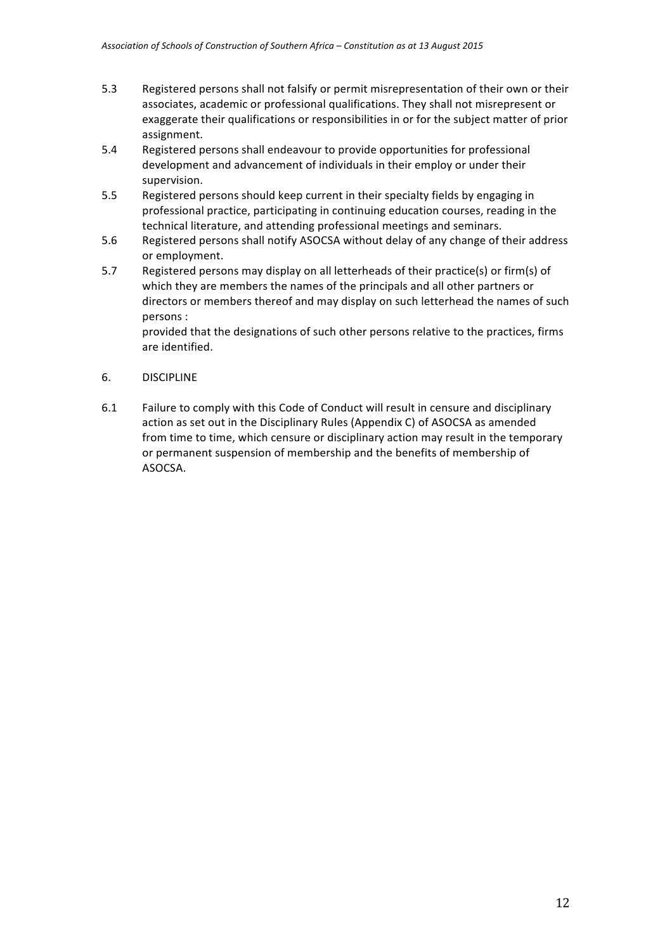- 5.3 Registered persons shall not falsify or permit misrepresentation of their own or their associates, academic or professional qualifications. They shall not misrepresent or exaggerate their qualifications or responsibilities in or for the subject matter of prior assignment.
- 5.4 Registered persons shall endeavour to provide opportunities for professional development and advancement of individuals in their employ or under their supervision.
- 5.5 Registered persons should keep current in their specialty fields by engaging in professional practice, participating in continuing education courses, reading in the technical literature, and attending professional meetings and seminars.
- 5.6 Registered persons shall notify ASOCSA without delay of any change of their address or employment.
- 5.7 Registered persons may display on all letterheads of their practice(s) or firm(s) of which they are members the names of the principals and all other partners or directors or members thereof and may display on such letterhead the names of such persons :

provided that the designations of such other persons relative to the practices, firms are identified.

## 6. DISCIPLINE

6.1 Failure to comply with this Code of Conduct will result in censure and disciplinary action as set out in the Disciplinary Rules (Appendix C) of ASOCSA as amended from time to time, which censure or disciplinary action may result in the temporary or permanent suspension of membership and the benefits of membership of ASOCSA.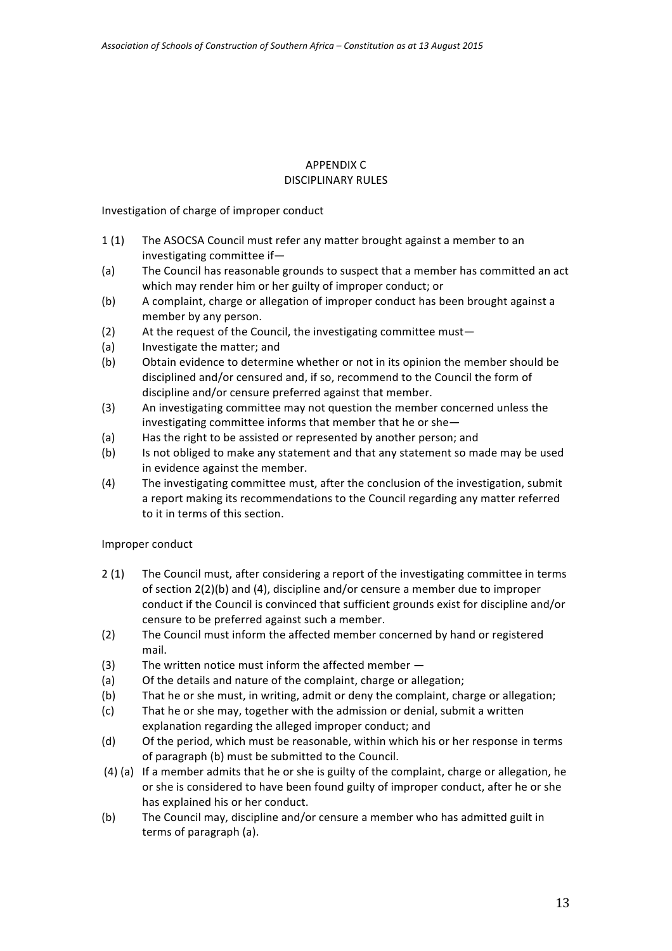# APPENDIX C DISCIPLINARY RULES

Investigation of charge of improper conduct

- 1(1) The ASOCSA Council must refer any matter brought against a member to an investigating committee if $-$
- (a) The Council has reasonable grounds to suspect that a member has committed an act which may render him or her guilty of improper conduct; or
- (b) A complaint, charge or allegation of improper conduct has been brought against a member by any person.
- (2) At the request of the Council, the investigating committee must-
- (a) Investigate the matter; and
- (b) Obtain evidence to determine whether or not in its opinion the member should be disciplined and/or censured and, if so, recommend to the Council the form of discipline and/or censure preferred against that member.
- (3) An investigating committee may not question the member concerned unless the investigating committee informs that member that he or she $-$
- (a) Has the right to be assisted or represented by another person; and
- (b) Is not obliged to make any statement and that any statement so made may be used in evidence against the member.
- (4) The investigating committee must, after the conclusion of the investigation, submit a report making its recommendations to the Council regarding any matter referred to it in terms of this section.

#### Improper conduct

- 2(1) The Council must, after considering a report of the investigating committee in terms of section  $2(2)(b)$  and  $(4)$ , discipline and/or censure a member due to improper conduct if the Council is convinced that sufficient grounds exist for discipline and/or censure to be preferred against such a member.
- (2) The Council must inform the affected member concerned by hand or registered mail.
- $(3)$  The written notice must inform the affected member  $-$
- (a) Of the details and nature of the complaint, charge or allegation;
- (b) That he or she must, in writing, admit or deny the complaint, charge or allegation;
- (c) That he or she may, together with the admission or denial, submit a written explanation regarding the alleged improper conduct; and
- (d) Of the period, which must be reasonable, within which his or her response in terms of paragraph (b) must be submitted to the Council.
- (4) (a) If a member admits that he or she is guilty of the complaint, charge or allegation, he or she is considered to have been found guilty of improper conduct, after he or she has explained his or her conduct.
- (b) The Council may, discipline and/or censure a member who has admitted guilt in terms of paragraph (a).